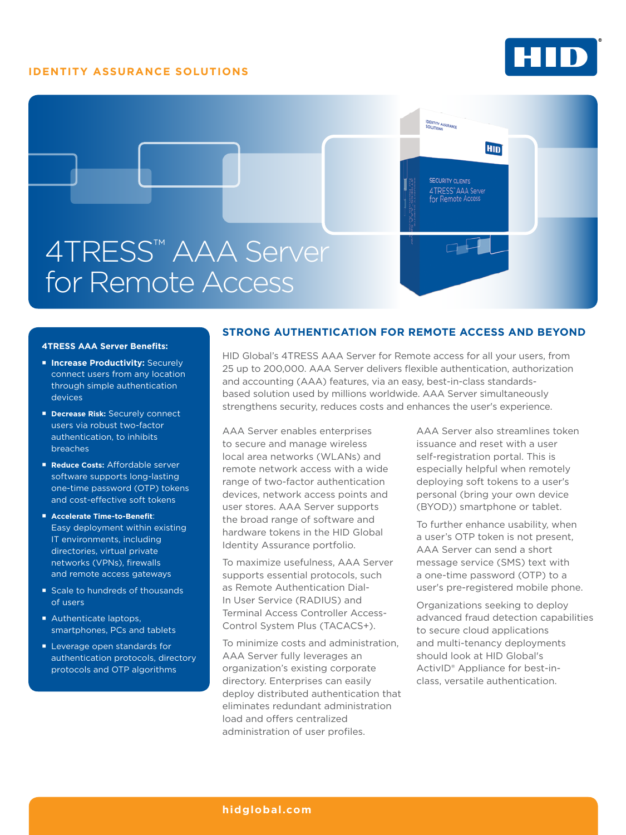# **IDENTITY ASSURANCE SOLUTIONS**





#### **4TRESS AAA Server Benefits:**

- **E Increase Productivity: Securely** connect users from any location through simple authentication devices
- **Decrease Risk: Securely connect** users via robust two-factor authentication, to inhibits breaches
- **Reduce Costs: Affordable server** software supports long-lasting one-time password (OTP) tokens and cost-effective soft tokens
- **Accelerate Time-to-Benefit**: Easy deployment within existing IT environments, including directories, virtual private networks (VPNs), firewalls and remote access gateways
- Scale to hundreds of thousands of users
- Authenticate laptops. smartphones, PCs and tablets
- **Leverage open standards for** authentication protocols, directory protocols and OTP algorithms

## **STRONG AUTHENTICATION FOR REMOTE ACCESS AND BEYOND**

HID Global's 4TRESS AAA Server for Remote access for all your users, from 25 up to 200,000. AAA Server delivers flexible authentication, authorization and accounting (AAA) features, via an easy, best-in-class standardsbased solution used by millions worldwide. AAA Server simultaneously strengthens security, reduces costs and enhances the user's experience.

AAA Server enables enterprises to secure and manage wireless local area networks (WLANs) and remote network access with a wide range of two-factor authentication devices, network access points and user stores. AAA Server supports the broad range of software and hardware tokens in the HID Global Identity Assurance portfolio.

To maximize usefulness, AAA Server supports essential protocols, such as Remote Authentication Dial-In User Service (RADIUS) and Terminal Access Controller Access-Control System Plus (TACACS+).

To minimize costs and administration, AAA Server fully leverages an organization's existing corporate directory. Enterprises can easily deploy distributed authentication that eliminates redundant administration load and offers centralized administration of user profiles.

AAA Server also streamlines token issuance and reset with a user self-registration portal. This is especially helpful when remotely deploying soft tokens to a user's personal (bring your own device (BYOD)) smartphone or tablet.

To further enhance usability, when a user's OTP token is not present, AAA Server can send a short message service (SMS) text with a one-time password (OTP) to a user's pre-registered mobile phone.

Organizations seeking to deploy advanced fraud detection capabilities to secure cloud applications and multi-tenancy deployments should look at HID Global's ActivID® Appliance for best-inclass, versatile authentication.